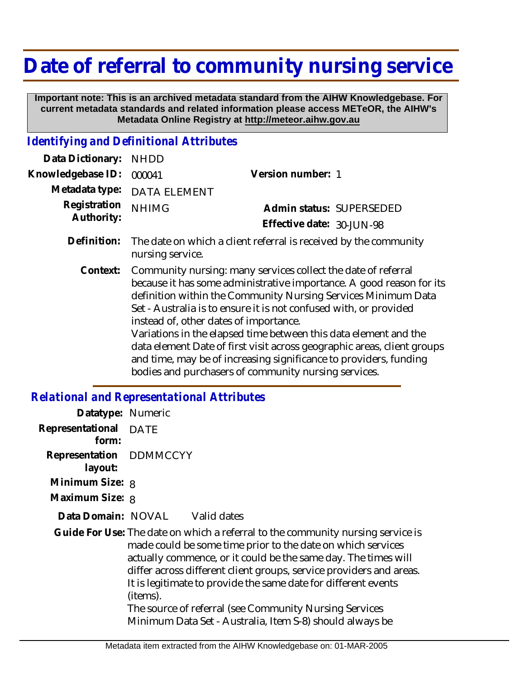## **Date of referral to community nursing service**

 **Important note: This is an archived metadata standard from the AIHW Knowledgebase. For current metadata standards and related information please access METeOR, the AIHW's Metadata Online Registry at http://meteor.aihw.gov.au**

## *Identifying and Definitional Attributes*

| Data Dictionary:           | <b>NHDD</b>                                                                                                                                                                                                                                                                                                                                                                                                                                                                                                                                                                                       |                           |
|----------------------------|---------------------------------------------------------------------------------------------------------------------------------------------------------------------------------------------------------------------------------------------------------------------------------------------------------------------------------------------------------------------------------------------------------------------------------------------------------------------------------------------------------------------------------------------------------------------------------------------------|---------------------------|
| Knowledgebase ID:          | 000041                                                                                                                                                                                                                                                                                                                                                                                                                                                                                                                                                                                            | Version number: 1         |
| Metadata type:             | <b>DATA ELEMENT</b>                                                                                                                                                                                                                                                                                                                                                                                                                                                                                                                                                                               |                           |
| Registration<br>Authority: | <b>NHIMG</b>                                                                                                                                                                                                                                                                                                                                                                                                                                                                                                                                                                                      | Admin status: SUPERSEDED  |
|                            |                                                                                                                                                                                                                                                                                                                                                                                                                                                                                                                                                                                                   | Effective date: 30-JUN-98 |
| Definition:                | The date on which a client referral is received by the community<br>nursing service.                                                                                                                                                                                                                                                                                                                                                                                                                                                                                                              |                           |
| Context:                   | Community nursing: many services collect the date of referral<br>because it has some administrative importance. A good reason for its<br>definition within the Community Nursing Services Minimum Data<br>Set - Australia is to ensure it is not confused with, or provided<br>instead of, other dates of importance.<br>Variations in the elapsed time between this data element and the<br>data element Date of first visit across geographic areas, client groups<br>and time, may be of increasing significance to providers, funding<br>bodies and purchasers of community nursing services. |                           |

## *Relational and Representational Attributes*

| Datatype: Numeric                  |                                                                                                                                                                                                                                                                                                                                                                                                                                                                                             |  |
|------------------------------------|---------------------------------------------------------------------------------------------------------------------------------------------------------------------------------------------------------------------------------------------------------------------------------------------------------------------------------------------------------------------------------------------------------------------------------------------------------------------------------------------|--|
| Representational DATE<br>form:     |                                                                                                                                                                                                                                                                                                                                                                                                                                                                                             |  |
| Representation DDMMCCYY<br>layout: |                                                                                                                                                                                                                                                                                                                                                                                                                                                                                             |  |
| Minimum Size: 8                    |                                                                                                                                                                                                                                                                                                                                                                                                                                                                                             |  |
| Maximum Size: 8                    |                                                                                                                                                                                                                                                                                                                                                                                                                                                                                             |  |
|                                    | Data Domain: NOVAL Valid dates                                                                                                                                                                                                                                                                                                                                                                                                                                                              |  |
|                                    | Guide For Use: The date on which a referral to the community nursing service is<br>made could be some time prior to the date on which services<br>actually commence, or it could be the same day. The times will<br>differ across different client groups, service providers and areas.<br>It is legitimate to provide the same date for different events<br>(items).<br>The source of referral (see Community Nursing Services<br>Minimum Data Set - Australia, Item S-8) should always be |  |